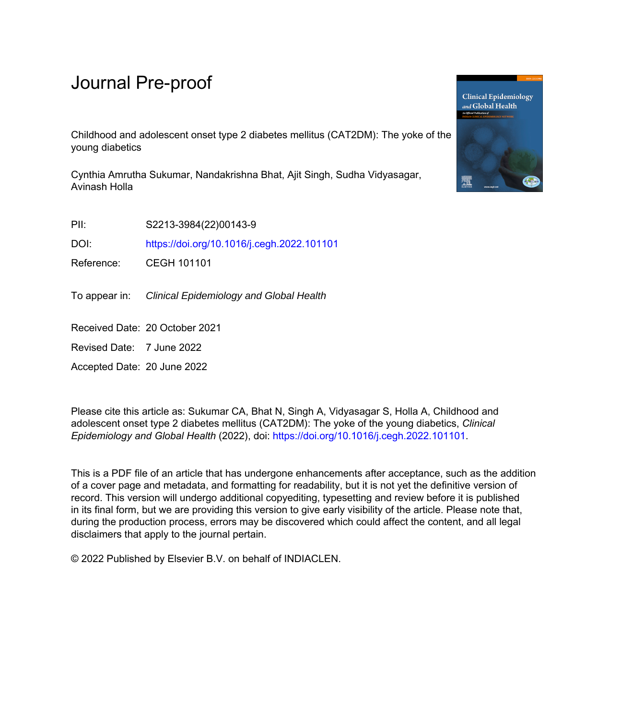# Journal Pre-proof

Childhood and adolescent onset type 2 diabetes mellitus (CAT2DM): The yoke of the young diabetics

Cynthia Amrutha Sukumar, Nandakrishna Bhat, Ajit Singh, Sudha Vidyasagar, Avinash Holla

PII: S2213-3984(22)00143-9

DOI: <https://doi.org/10.1016/j.cegh.2022.101101>

Reference: CEGH 101101

To appear in: Clinical Epidemiology and Global Health

Received Date: 20 October 2021

Revised Date: 7 June 2022

Accepted Date: 20 June 2022

Please cite this article as: Sukumar CA, Bhat N, Singh A, Vidyasagar S, Holla A, Childhood and adolescent onset type 2 diabetes mellitus (CAT2DM): The yoke of the young diabetics, *Clinical Epidemiology and Global Health* (2022), doi: [https://doi.org/10.1016/j.cegh.2022.101101.](https://doi.org/10.1016/j.cegh.2022.101101)

This is a PDF file of an article that has undergone enhancements after acceptance, such as the addition of a cover page and metadata, and formatting for readability, but it is not yet the definitive version of record. This version will undergo additional copyediting, typesetting and review before it is published in its final form, but we are providing this version to give early visibility of the article. Please note that, during the production process, errors may be discovered which could affect the content, and all legal disclaimers that apply to the journal pertain.

© 2022 Published by Elsevier B.V. on behalf of INDIACLEN.

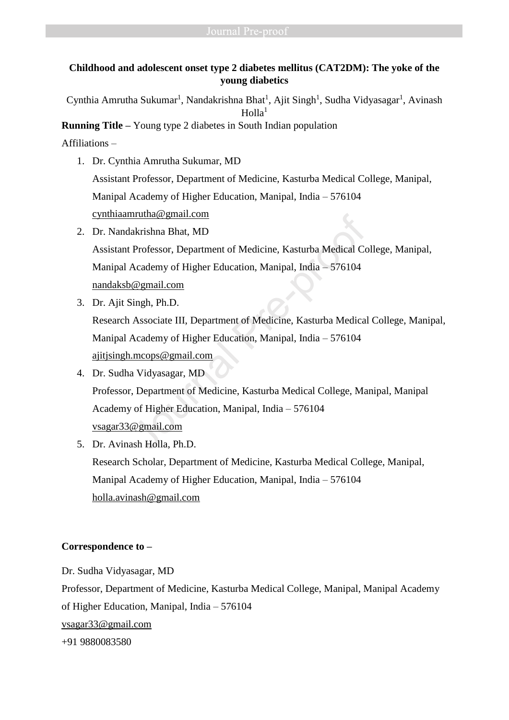# **Childhood and adolescent onset type 2 diabetes mellitus (CAT2DM): The yoke of the young diabetics**

Cynthia Amrutha Sukumar<sup>1</sup>, Nandakrishna Bhat<sup>1</sup>, Ajit Singh<sup>1</sup>, Sudha Vidyasagar<sup>1</sup>, Avinash  $H$ olla<sup>1</sup>

**Running Title –** Young type 2 diabetes in South Indian population

Affiliations –

1. Dr. Cynthia Amrutha Sukumar, MD

Assistant Professor, Department of Medicine, Kasturba Medical College, Manipal, Manipal Academy of Higher Education, Manipal, India – 576104 [cynthiaamrutha@gmail.com](mailto:cynthiaamrutha@gmail.com)

- 2. Dr. Nandakrishna Bhat, MD Assistant Professor, Department of Medicine, Kasturba Medical College, Manipal, Manipal Academy of Higher Education, Manipal, India – 576104 nandaksb@gmail.com
- 3. Dr. Ajit Singh, Ph.D.

Research Associate III, Department of Medicine, Kasturba Medical College, Manipal, Manipal Academy of Higher Education, Manipal, India – 576104 ajitjsingh.mcops@gmail.com

- 4. Dr. Sudha Vidyasagar, MD Professor, Department of Medicine, Kasturba Medical College, Manipal, Manipal Academy of Higher Education, Manipal, India – 576104 vsagar33@gmail.com nrutn[a](mailto:ajitjsingh.mcops@gmail.com)@gmail.com<br>
akrishna Bhat, MD<br>
Professor, Department of Medicine, Kasturba Medical Co<br>
Academy of Higher Education, Manipal, India – 576104<br>
<u>@gmail.com</u><br>
Singh, Ph.D.<br>
Associate III, Department of Medicine, Kasturba
- 5. Dr. Avinash Holla, Ph.D. Research Scholar, Department of Medicine, Kasturba Medical College, Manipal, Manipal Academy of Higher Education, Manipal, India – 576104 [holla.avinash@gmail.com](mailto:holla.avinash@gmail.com)

# **Correspondence to –**

Dr. Sudha Vidyasagar, MD Professor, Department of Medicine, Kasturba Medical College, Manipal, Manipal Academy of Higher Education, Manipal, India – 576104 [vsagar33@gmail.com](mailto:vsagar33@gmail.com) +91 9880083580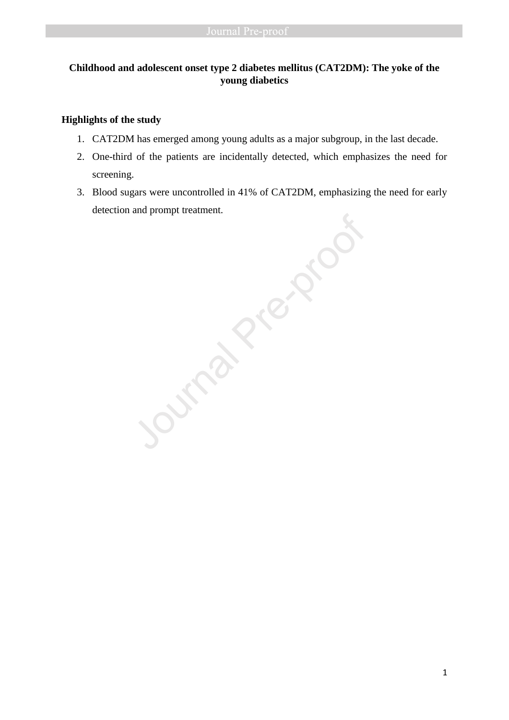# **Childhood and adolescent onset type 2 diabetes mellitus (CAT2DM): The yoke of the young diabetics**

## **Highlights of the study**

- 1. CAT2DM has emerged among young adults as a major subgroup, in the last decade.
- 2. One-third of the patients are incidentally detected, which emphasizes the need for screening.
- 3. Blood sugars were uncontrolled in 41% of CAT2DM, emphasizing the need for early

detection and prompt treatment.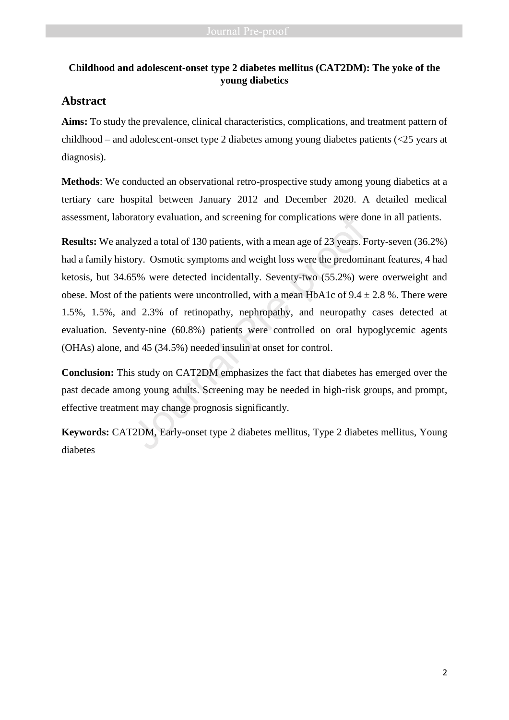# **Childhood and adolescent-onset type 2 diabetes mellitus (CAT2DM): The yoke of the young diabetics**

# **Abstract**

**Aims:** To study the prevalence, clinical characteristics, complications, and treatment pattern of childhood – and adolescent-onset type 2 diabetes among young diabetes patients (<25 years at diagnosis).

**Methods**: We conducted an observational retro-prospective study among young diabetics at a tertiary care hospital between January 2012 and December 2020. A detailed medical assessment, laboratory evaluation, and screening for complications were done in all patients.

**Results:** We analyzed a total of 130 patients, with a mean age of 23 years. Forty-seven (36.2%) had a family history. Osmotic symptoms and weight loss were the predominant features, 4 had ketosis, but 34.65% were detected incidentally. Seventy-two (55.2%) were overweight and obese. Most of the patients were uncontrolled, with a mean HbA1c of  $9.4 \pm 2.8$ %. There were 1.5%, 1.5%, and 2.3% of retinopathy, nephropathy, and neuropathy cases detected at evaluation. Seventy-nine (60.8%) patients were controlled on oral hypoglycemic agents (OHAs) alone, and 45 (34.5%) needed insulin at onset for control. assessment, laboratory evaluation, and screening for complications were do<br> **Results:** We analyzed a total of 130 patients, with a mean age of 23 years. F<br>
had a family history. Osmotic symptoms and weight loss were the pr

**Conclusion:** This study on CAT2DM emphasizes the fact that diabetes has emerged over the past decade among young adults. Screening may be needed in high-risk groups, and prompt, effective treatment may change prognosis significantly.

**Keywords:** CAT2DM, Early-onset type 2 diabetes mellitus, Type 2 diabetes mellitus, Young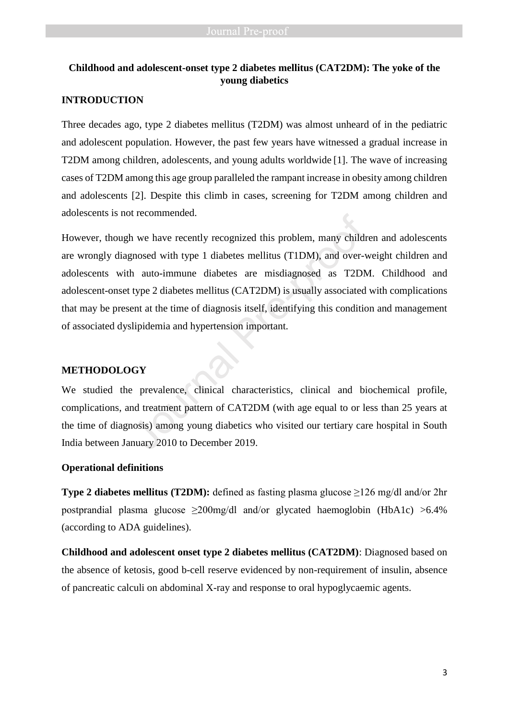# **Childhood and adolescent-onset type 2 diabetes mellitus (CAT2DM): The yoke of the young diabetics**

## **INTRODUCTION**

Three decades ago, type 2 diabetes mellitus (T2DM) was almost unheard of in the pediatric and adolescent population. However, the past few years have witnessed a gradual increase in T2DM among children, adolescents, and young adults worldwide [1]. The wave of increasing cases of T2DM among this age group paralleled the rampant increase in obesity among children and adolescents [2]. Despite this climb in cases, screening for T2DM among children and adolescents is not recommended.

However, though we have recently recognized this problem, many children and adolescents are wrongly diagnosed with type 1 diabetes mellitus (T1DM), and over-weight children and adolescents with auto-immune diabetes are misdiagnosed as T2DM. Childhood and adolescent-onset type 2 diabetes mellitus (CAT2DM) is usually associated with complications that may be present at the time of diagnosis itself, identifying this condition and management of associated dyslipidemia and hypertension important. In we have recently recognized this problem, many child<br>gnosed with type 1 diabetes mellitus (T1DM), and over-<br>h auto-immune diabetes are misdiagnosed as T2DN<br>type 2 diabetes mellitus (CAT2DM) is usually associated<br>ent at

### **METHODOLOGY**

We studied the prevalence, clinical characteristics, clinical and biochemical profile, complications, and treatment pattern of CAT2DM (with age equal to or less than 25 years at the time of diagnosis) among young diabetics who visited our tertiary care hospital in South India between January 2010 to December 2019.

### **Operational definitions**

**Type 2 diabetes mellitus (T2DM):** defined as fasting plasma glucose ≥126 mg/dl and/or 2hr postprandial plasma glucose  $\geq 200$ mg/dl and/or glycated haemoglobin (HbA1c) >6.4% (according to ADA guidelines).

**Childhood and adolescent onset type 2 diabetes mellitus (CAT2DM)**: Diagnosed based on the absence of ketosis, good b-cell reserve evidenced by non-requirement of insulin, absence of pancreatic calculi on abdominal X-ray and response to oral hypoglycaemic agents.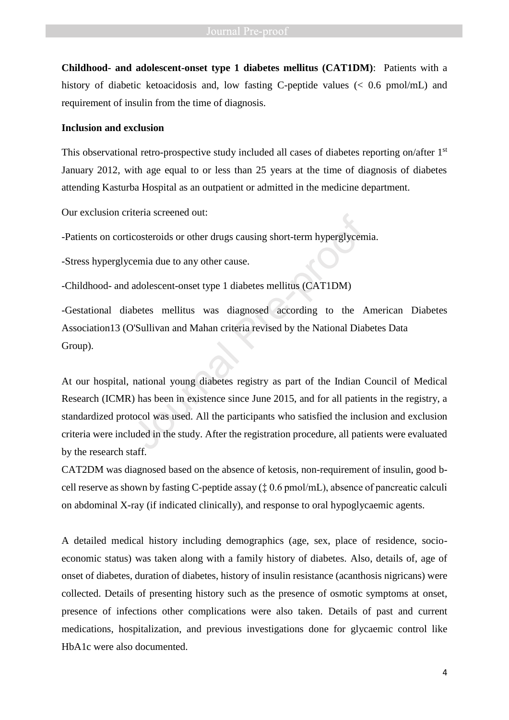**Childhood- and adolescent-onset type 1 diabetes mellitus (CAT1DM)**: Patients with a history of diabetic ketoacidosis and, low fasting C-peptide values (< 0.6 pmol/mL) and requirement of insulin from the time of diagnosis.

### **Inclusion and exclusion**

This observational retro-prospective study included all cases of diabetes reporting on/after 1<sup>st</sup> January 2012, with age equal to or less than 25 years at the time of diagnosis of diabetes attending Kasturba Hospital as an outpatient or admitted in the medicine department.

Our exclusion criteria screened out:

-Patients on corticosteroids or other drugs causing short-term hyperglycemia.

-Stress hyperglycemia due to any other cause.

-Childhood- and adolescent-onset type 1 diabetes mellitus (CAT1DM)

-Gestational diabetes mellitus was diagnosed according to the American Diabetes Association13 (O'Sullivan and Mahan criteria revised by the National Diabetes Data Group).

At our hospital, national young diabetes registry as part of the Indian Council of Medical Research (ICMR) has been in existence since June 2015, and for all patients in the registry, a standardized protocol was used. All the participants who satisfied the inclusion and exclusion criteria were included in the study. After the registration procedure, all patients were evaluated by the research staff. icosteroids or other drugs causing short-term hyperglycem<br>cemia due to any other cause.<br>adolescent-onset type 1 diabetes mellitus (CAT1DM)<br>betes mellitus was diagnosed according to the A<br>D'Sullivan and Mahan criteria revis

CAT2DM was diagnosed based on the absence of ketosis, non-requirement of insulin, good bcell reserve as shown by fasting C-peptide assay (‡ 0.6 pmol/mL), absence of pancreatic calculi on abdominal X-ray (if indicated clinically), and response to oral hypoglycaemic agents.

A detailed medical history including demographics (age, sex, place of residence, socioeconomic status) was taken along with a family history of diabetes. Also, details of, age of onset of diabetes, duration of diabetes, history of insulin resistance (acanthosis nigricans) were collected. Details of presenting history such as the presence of osmotic symptoms at onset, presence of infections other complications were also taken. Details of past and current medications, hospitalization, and previous investigations done for glycaemic control like HbA1c were also documented.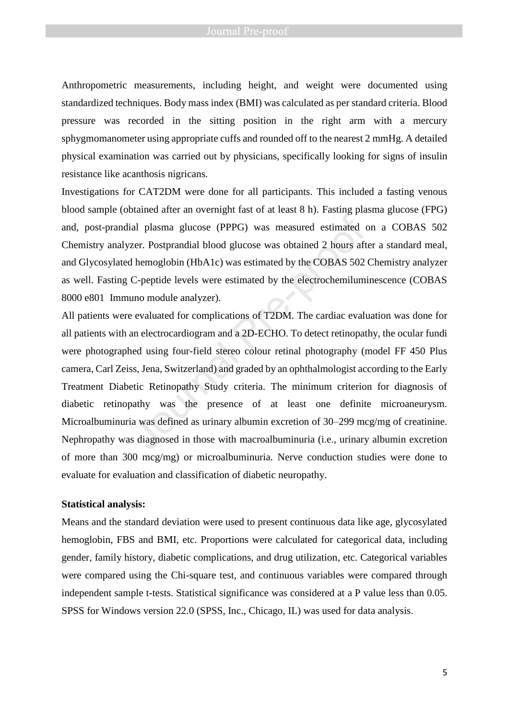Anthropometric measurements, including height, and weight were documented using standardized techniques. Body mass index (BMI) was calculated as per standard criteria. Blood pressure was recorded in the sitting position in the right arm with a mercury sphygmomanometer using appropriate cuffs and rounded off to the nearest 2 mmHg. A detailed physical examination was carried out by physicians, specifically looking for signs of insulin resistance like acanthosis nigricans.

Investigations for CAT2DM were done for all participants. This included a fasting venous blood sample (obtained after an overnight fast of at least 8 h). Fasting plasma glucose (FPG) and, post-prandial plasma glucose (PPPG) was measured estimated on a COBAS 502 Chemistry analyzer. Postprandial blood glucose was obtained 2 hours after a standard meal, and Glycosylated hemoglobin (HbA1c) was estimated by the COBAS 502 Chemistry analyzer as well. Fasting C-peptide levels were estimated by the electrochemiluminescence (COBAS 8000 e801 Immuno module analyzer).

All patients were evaluated for complications of T2DM. The cardiac evaluation was done for all patients with an electrocardiogram and a 2D-ECHO. To detect retinopathy, the ocular fundi were photographed using four-field stereo colour retinal photography (model FF 450 Plus camera, Carl Zeiss, Jena, Switzerland) and graded by an ophthalmologist according to the Early Treatment Diabetic Retinopathy Study criteria. The minimum criterion for diagnosis of diabetic retinopathy was the presence of at least one definite microaneurysm. Microalbuminuria was defined as urinary albumin excretion of 30–299 mcg/mg of creatinine. Nephropathy was diagnosed in those with macroalbuminuria (i.e., urinary albumin excretion of more than 300 mcg/mg) or microalbuminuria. Nerve conduction studies were done to evaluate for evaluation and classification of diabetic neuropathy. Final Presence of at least one definite the pre-proof of an extended the pre-proof of the proof of the moglobin (HbA1c) was estimated by the COBAS 502 C-peptide levels were estimated by the electrochemiluminum module analy

### **Statistical analysis:**

Means and the standard deviation were used to present continuous data like age, glycosylated hemoglobin, FBS and BMI, etc. Proportions were calculated for categorical data, including gender, family history, diabetic complications, and drug utilization, etc. Categorical variables were compared using the Chi-square test, and continuous variables were compared through independent sample t-tests. Statistical significance was considered at a P value less than 0.05. SPSS for Windows version 22.0 (SPSS, Inc., Chicago, IL) was used for data analysis.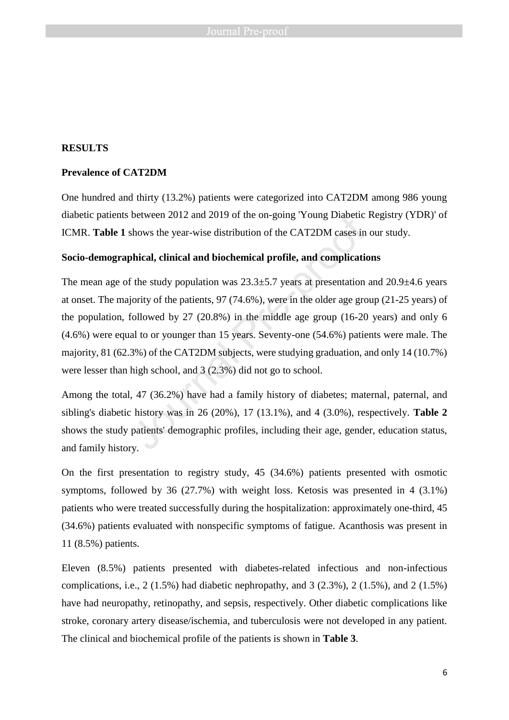## **RESULTS**

### **Prevalence of CAT2DM**

One hundred and thirty (13.2%) patients were categorized into CAT2DM among 986 young diabetic patients between 2012 and 2019 of the on-going 'Young Diabetic Registry (YDR)' of ICMR. **Table 1** shows the year-wise distribution of the CAT2DM cases in our study.

## **Socio-demographical, clinical and biochemical profile, and complications**

The mean age of the study population was  $23.3\pm5.7$  years at presentation and  $20.9\pm4.6$  years at onset. The majority of the patients, 97 (74.6%), were in the older age group (21-25 years) of the population, followed by 27 (20.8%) in the middle age group (16-20 years) and only 6 (4.6%) were equal to or younger than 15 years. Seventy-one (54.6%) patients were male. The majority, 81 (62.3%) of the CAT2DM subjects, were studying graduation, and only 14 (10.7%) were lesser than high school, and 3 (2.3%) did not go to school. between 2012 and 2019 of the on-going 'Young Diabetic<br>shows the year-wise distribution of the CAT2DM cases in<br>**bhical, clinical and biochemical profile, and complicatie**<br>f the study population was  $23.3\pm5.7$  years at pre

Among the total, 47 (36.2%) have had a family history of diabetes; maternal, paternal, and sibling's diabetic history was in 26 (20%), 17 (13.1%), and 4 (3.0%), respectively. **Table 2** shows the study patients' demographic profiles, including their age, gender, education status, and family history.

On the first presentation to registry study, 45 (34.6%) patients presented with osmotic symptoms, followed by 36 (27.7%) with weight loss. Ketosis was presented in 4 (3.1%) patients who were treated successfully during the hospitalization: approximately one-third, 45 (34.6%) patients evaluated with nonspecific symptoms of fatigue. Acanthosis was present in 11 (8.5%) patients.

Eleven (8.5%) patients presented with diabetes-related infectious and non-infectious complications, i.e., 2 (1.5%) had diabetic nephropathy, and 3 (2.3%), 2 (1.5%), and 2 (1.5%) have had neuropathy, retinopathy, and sepsis, respectively. Other diabetic complications like stroke, coronary artery disease/ischemia, and tuberculosis were not developed in any patient. The clinical and biochemical profile of the patients is shown in **Table 3**.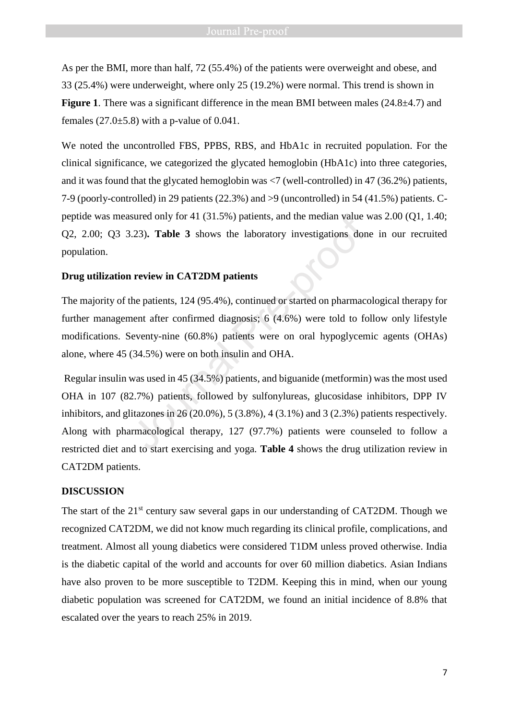As per the BMI, more than half, 72 (55.4%) of the patients were overweight and obese, and 33 (25.4%) were underweight, where only 25 (19.2%) were normal. This trend is shown in **Figure 1.** There was a significant difference in the mean BMI between males (24.8 $\pm$ 4.7) and females  $(27.0\pm5.8)$  with a p-value of 0.041.

We noted the uncontrolled FBS, PPBS, RBS, and HbA1c in recruited population. For the clinical significance, we categorized the glycated hemoglobin (HbA1c) into three categories, and it was found that the glycated hemoglobin was  $\langle 7 \rangle$  (well-controlled) in 47 (36.2%) patients, 7-9 (poorly-controlled) in 29 patients (22.3%) and >9 (uncontrolled) in 54 (41.5%) patients. Cpeptide was measured only for 41 (31.5%) patients, and the median value was 2.00 (Q1, 1.40; Q2, 2.00; Q3 3.23)**. Table 3** shows the laboratory investigations done in our recruited population.

### **Drug utilization review in CAT2DM patients**

The majority of the patients, 124 (95.4%), continued or started on pharmacological therapy for further management after confirmed diagnosis; 6 (4.6%) were told to follow only lifestyle modifications. Seventy-nine (60.8%) patients were on oral hypoglycemic agents (OHAs) alone, where 45 (34.5%) were on both insulin and OHA.

Regular insulin was used in 45 (34.5%) patients, and biguanide (metformin) was the most used OHA in 107 (82.7%) patients, followed by sulfonylureas, glucosidase inhibitors, DPP IV inhibitors, and glitazones in 26 (20.0%), 5 (3.8%), 4 (3.1%) and 3 (2.3%) patients respectively. Along with pharmacological therapy, 127 (97.7%) patients were counseled to follow a restricted diet and to start exercising and yoga. **Table 4** shows the drug utilization review in CAT2DM patients. sured only for 41 (31.5%) patients, and the median value v.23). **Table 3** shows the laboratory investigations don<br> **n** review in CAT2DM patients<br>
the patients, 124 (95.4%), continued or started on pharmace<br>
nent after con

### **DISCUSSION**

The start of the  $21<sup>st</sup>$  century saw several gaps in our understanding of CAT2DM. Though we recognized CAT2DM, we did not know much regarding its clinical profile, complications, and treatment. Almost all young diabetics were considered T1DM unless proved otherwise. India is the diabetic capital of the world and accounts for over 60 million diabetics. Asian Indians have also proven to be more susceptible to T2DM. Keeping this in mind, when our young diabetic population was screened for CAT2DM, we found an initial incidence of 8.8% that escalated over the years to reach 25% in 2019.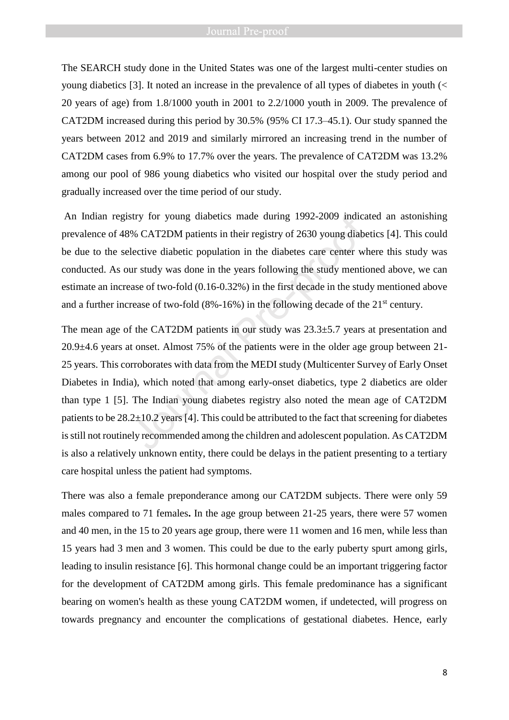The SEARCH study done in the United States was one of the largest multi-center studies on young diabetics [3]. It noted an increase in the prevalence of all types of diabetes in youth (< 20 years of age) from 1.8/1000 youth in 2001 to 2.2/1000 youth in 2009. The prevalence of CAT2DM increased during this period by 30.5% (95% CI 17.3–45.1). Our study spanned the years between 2012 and 2019 and similarly mirrored an increasing trend in the number of CAT2DM cases from 6.9% to 17.7% over the years. The prevalence of CAT2DM was 13.2% among our pool of 986 young diabetics who visited our hospital over the study period and gradually increased over the time period of our study.

An Indian registry for young diabetics made during 1992-2009 indicated an astonishing prevalence of 48% CAT2DM patients in their registry of 2630 young diabetics [4]. This could be due to the selective diabetic population in the diabetes care center where this study was conducted. As our study was done in the years following the study mentioned above, we can estimate an increase of two-fold (0.16-0.32%) in the first decade in the study mentioned above and a further increase of two-fold  $(8\% -16\%)$  in the following decade of the  $21<sup>st</sup>$  century.

The mean age of the CAT2DM patients in our study was  $23.3\pm5.7$  years at presentation and 20.9±4.6 years at onset. Almost 75% of the patients were in the older age group between 21- 25 years. This corroborates with data from the MEDI study (Multicenter Survey of Early Onset Diabetes in India), which noted that among early-onset diabetics, type 2 diabetics are older than type 1 [5]. The Indian young diabetes registry also noted the mean age of CAT2DM patients to be  $28.2\pm10.2$  years [4]. This could be attributed to the fact that screening for diabetes is still not routinely recommended among the children and adolescent population. As CAT2DM is also a relatively unknown entity, there could be delays in the patient presenting to a tertiary care hospital unless the patient had symptoms. stry for young diabetics made during 1992-2009 indica<br>% CAT2DM patients in their registry of 2630 young diabelective diabetic population in the diabetes care center wlur study was done in the years following the study men

There was also a female preponderance among our CAT2DM subjects. There were only 59 males compared to 71 females**.** In the age group between 21-25 years, there were 57 women and 40 men, in the 15 to 20 years age group, there were 11 women and 16 men, while less than 15 years had 3 men and 3 women. This could be due to the early puberty spurt among girls, leading to insulin resistance [6]. This hormonal change could be an important triggering factor for the development of CAT2DM among girls. This female predominance has a significant bearing on women's health as these young CAT2DM women, if undetected, will progress on towards pregnancy and encounter the complications of gestational diabetes. Hence, early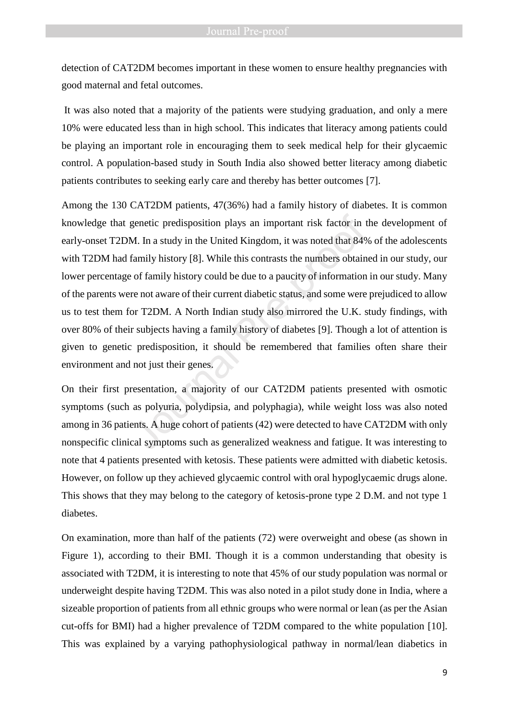detection of CAT2DM becomes important in these women to ensure healthy pregnancies with good maternal and fetal outcomes.

It was also noted that a majority of the patients were studying graduation, and only a mere 10% were educated less than in high school. This indicates that literacy among patients could be playing an important role in encouraging them to seek medical help for their glycaemic control. A population-based study in South India also showed better literacy among diabetic patients contributes to seeking early care and thereby has better outcomes [7].

Among the 130 CAT2DM patients, 47(36%) had a family history of diabetes. It is common knowledge that genetic predisposition plays an important risk factor in the development of early-onset T2DM. In a study in the United Kingdom, it was noted that 84% of the adolescents with T2DM had family history [8]. While this contrasts the numbers obtained in our study, our lower percentage of family history could be due to a paucity of information in our study. Many of the parents were not aware of their current diabetic status, and some were prejudiced to allow us to test them for T2DM. A North Indian study also mirrored the U.K. study findings, with over 80% of their subjects having a family history of diabetes [9]. Though a lot of attention is given to genetic predisposition, it should be remembered that families often share their environment and not just their genes. genetic predisposition plays an important risk factor in t<br>M. In a study in the United Kingdom, it was noted that 849<br>family history [8]. While this contrasts the numbers obtain<br>e of family history could be due to a paucit

On their first presentation, a majority of our CAT2DM patients presented with osmotic symptoms (such as polyuria, polydipsia, and polyphagia), while weight loss was also noted among in 36 patients. A huge cohort of patients (42) were detected to have CAT2DM with only nonspecific clinical symptoms such as generalized weakness and fatigue. It was interesting to note that 4 patients presented with ketosis. These patients were admitted with diabetic ketosis. However, on follow up they achieved glycaemic control with oral hypoglycaemic drugs alone. This shows that they may belong to the category of ketosis-prone type 2 D.M. and not type 1 diabetes.

On examination, more than half of the patients (72) were overweight and obese (as shown in Figure 1), according to their BMI. Though it is a common understanding that obesity is associated with T2DM, it is interesting to note that 45% of our study population was normal or underweight despite having T2DM. This was also noted in a pilot study done in India, where a sizeable proportion of patients from all ethnic groups who were normal or lean (as per the Asian cut-offs for BMI) had a higher prevalence of T2DM compared to the white population [10]. This was explained by a varying pathophysiological pathway in normal/lean diabetics in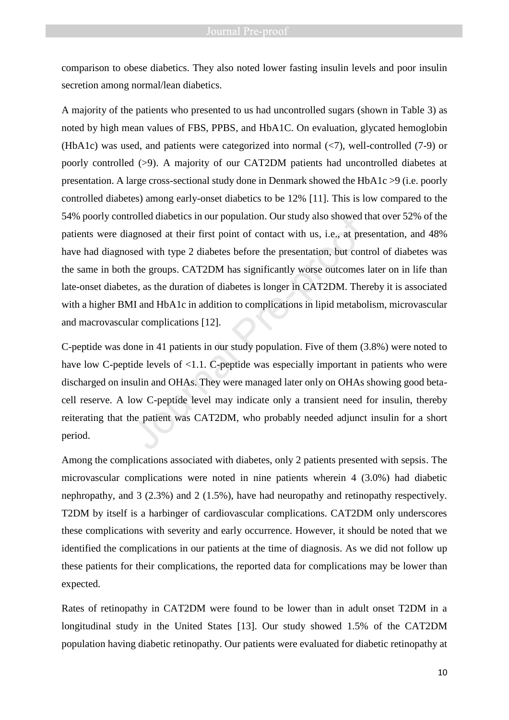comparison to obese diabetics. They also noted lower fasting insulin levels and poor insulin secretion among normal/lean diabetics.

A majority of the patients who presented to us had uncontrolled sugars (shown in Table 3) as noted by high mean values of FBS, PPBS, and HbA1C. On evaluation, glycated hemoglobin (HbA1c) was used, and patients were categorized into normal  $\langle$  -7), well-controlled (7-9) or poorly controlled (>9). A majority of our CAT2DM patients had uncontrolled diabetes at presentation. A large cross-sectional study done in Denmark showed the HbA1c >9 (i.e. poorly controlled diabetes) among early-onset diabetics to be 12% [11]. This is low compared to the 54% poorly controlled diabetics in our population. Our study also showed that over 52% of the patients were diagnosed at their first point of contact with us, i.e., at presentation, and 48% have had diagnosed with type 2 diabetes before the presentation, but control of diabetes was the same in both the groups. CAT2DM has significantly worse outcomes later on in life than late-onset diabetes, as the duration of diabetes is longer in CAT2DM. Thereby it is associated with a higher BMI and HbA1c in addition to complications in lipid metabolism, microvascular and macrovascular complications [12]. rolled diabetics in our population. Our study also showed tagnosed at their first point of contact with us, i.e., at pre-<br>sed with type 2 diabetes before the presentation, but cont<br>the groups. CAT2DM has significantly wors

C-peptide was done in 41 patients in our study population. Five of them (3.8%) were noted to have low C-peptide levels of <1.1. C-peptide was especially important in patients who were discharged on insulin and OHAs. They were managed later only on OHAs showing good betacell reserve. A low C-peptide level may indicate only a transient need for insulin, thereby reiterating that the patient was CAT2DM, who probably needed adjunct insulin for a short period.

Among the complications associated with diabetes, only 2 patients presented with sepsis. The microvascular complications were noted in nine patients wherein 4 (3.0%) had diabetic nephropathy, and 3 (2.3%) and 2 (1.5%), have had neuropathy and retinopathy respectively. T2DM by itself is a harbinger of cardiovascular complications. CAT2DM only underscores these complications with severity and early occurrence. However, it should be noted that we identified the complications in our patients at the time of diagnosis. As we did not follow up these patients for their complications, the reported data for complications may be lower than expected.

Rates of retinopathy in CAT2DM were found to be lower than in adult onset T2DM in a longitudinal study in the United States [13]. Our study showed 1.5% of the CAT2DM population having diabetic retinopathy. Our patients were evaluated for diabetic retinopathy at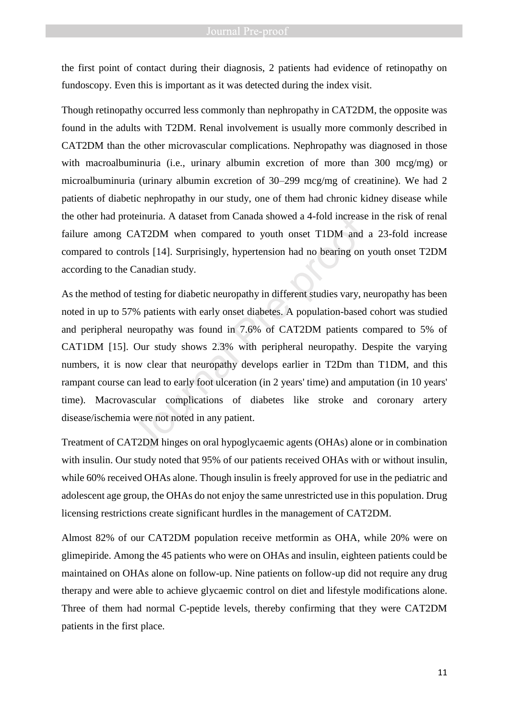the first point of contact during their diagnosis, 2 patients had evidence of retinopathy on fundoscopy. Even this is important as it was detected during the index visit.

Though retinopathy occurred less commonly than nephropathy in CAT2DM, the opposite was found in the adults with T2DM. Renal involvement is usually more commonly described in CAT2DM than the other microvascular complications. Nephropathy was diagnosed in those with macroalbuminuria (i.e., urinary albumin excretion of more than 300 mcg/mg) or microalbuminuria (urinary albumin excretion of 30–299 mcg/mg of creatinine). We had 2 patients of diabetic nephropathy in our study, one of them had chronic kidney disease while the other had proteinuria. A dataset from Canada showed a 4-fold increase in the risk of renal failure among CAT2DM when compared to youth onset T1DM and a 23-fold increase compared to controls [14]. Surprisingly, hypertension had no bearing on youth onset T2DM according to the Canadian study.

As the method of testing for diabetic neuropathy in different studies vary, neuropathy has been noted in up to 57% patients with early onset diabetes. A population-based cohort was studied and peripheral neuropathy was found in 7.6% of CAT2DM patients compared to 5% of CAT1DM [15]. Our study shows 2.3% with peripheral neuropathy. Despite the varying numbers, it is now clear that neuropathy develops earlier in T2Dm than T1DM, and this rampant course can lead to early foot ulceration (in 2 years' time) and amputation (in 10 years' time). Macrovascular complications of diabetes like stroke and coronary artery disease/ischemia were not noted in any patient. Interinuria. A dataset from Canada showed a 4-fold increase<br>
CAT2DM when compared to youth onset T1DM and<br>
trols [14]. Surprisingly, hypertension had no bearing on<br>
Canadian study.<br>
f testing for diabetic neuropathy in dif

Treatment of CAT2DM hinges on oral hypoglycaemic agents (OHAs) alone or in combination with insulin. Our study noted that 95% of our patients received OHAs with or without insulin, while 60% received OHAs alone. Though insulin is freely approved for use in the pediatric and adolescent age group, the OHAs do not enjoy the same unrestricted use in this population. Drug licensing restrictions create significant hurdles in the management of CAT2DM.

Almost 82% of our CAT2DM population receive metformin as OHA, while 20% were on glimepiride. Among the 45 patients who were on OHAs and insulin, eighteen patients could be maintained on OHAs alone on follow-up. Nine patients on follow-up did not require any drug therapy and were able to achieve glycaemic control on diet and lifestyle modifications alone. Three of them had normal C-peptide levels, thereby confirming that they were CAT2DM patients in the first place.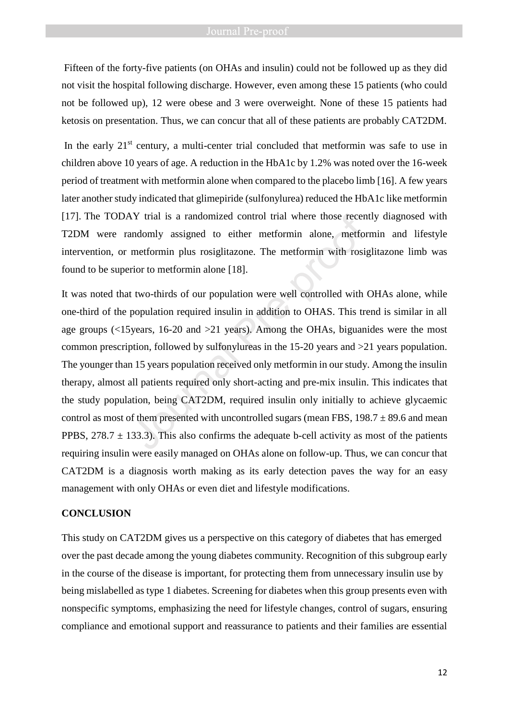Fifteen of the forty-five patients (on OHAs and insulin) could not be followed up as they did not visit the hospital following discharge. However, even among these 15 patients (who could not be followed up), 12 were obese and 3 were overweight. None of these 15 patients had ketosis on presentation. Thus, we can concur that all of these patients are probably CAT2DM.

In the early  $21<sup>st</sup>$  century, a multi-center trial concluded that metformin was safe to use in children above 10 years of age. A reduction in the HbA1c by 1.2% was noted over the 16-week period of treatment with metformin alone when compared to the placebo limb [16]. A few years later another study indicated that glimepiride (sulfonylurea) reduced the HbA1c like metformin [17]. The TODAY trial is a randomized control trial where those recently diagnosed with T2DM were randomly assigned to either metformin alone, metformin and lifestyle intervention, or metformin plus rosiglitazone. The metformin with rosiglitazone limb was found to be superior to metformin alone [18].

It was noted that two-thirds of our population were well controlled with OHAs alone, while one-third of the population required insulin in addition to OHAS. This trend is similar in all age groups (<15years, 16-20 and >21 years). Among the OHAs, biguanides were the most common prescription, followed by sulfonylureas in the 15-20 years and >21 years population. The younger than 15 years population received only metformin in our study. Among the insulin therapy, almost all patients required only short-acting and pre-mix insulin. This indicates that the study population, being CAT2DM, required insulin only initially to achieve glycaemic control as most of them presented with uncontrolled sugars (mean FBS,  $198.7 \pm 89.6$  and mean PPBS,  $278.7 \pm 133.3$ ). This also confirms the adequate b-cell activity as most of the patients requiring insulin were easily managed on OHAs alone on follow-up. Thus, we can concur that CAT2DM is a diagnosis worth making as its early detection paves the way for an easy management with only OHAs or even diet and lifestyle modifications. NY trial is a randomized control trial where those recent<br>
andomly assigned to either metformin alone, metfor<br>
metformin plus rosiglitazone. The metformin with rosig<br>
rior to metformin alone [18].<br>
t two-thirds of our pop

### **CONCLUSION**

This study on CAT2DM gives us a perspective on this category of diabetes that has emerged over the past decade among the young diabetes community. Recognition of this subgroup early in the course of the disease is important, for protecting them from unnecessary insulin use by being mislabelled as type 1 diabetes. Screening for diabetes when this group presents even with nonspecific symptoms, emphasizing the need for lifestyle changes, control of sugars, ensuring compliance and emotional support and reassurance to patients and their families are essential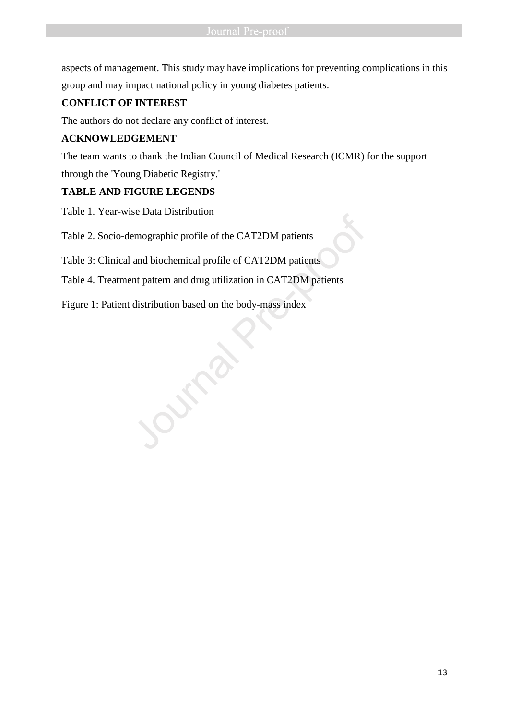aspects of management. This study may have implications for preventing complications in this group and may impact national policy in young diabetes patients.

# **CONFLICT OF INTEREST**

The authors do not declare any conflict of interest.

# **ACKNOWLEDGEMENT**

The team wants to thank the Indian Council of Medical Research (ICMR) for the support through the 'Young Diabetic Registry.'

# **TABLE AND FIGURE LEGENDS**

Table 1. Year-wise Data Distribution

Table 2. Socio-demographic profile of the CAT2DM patients

Table 3: Clinical and biochemical profile of CAT2DM patients

- Table 4. Treatment pattern and drug utilization in CAT2DM patients Table 2. Socio-demographic profile of the CAT2DM patients<br>Table 3: Clinical and biochemical profile of CAT2DM patients<br>Table 4. Treatment pattern and drug utilization in CAT2DM patients<br>Figure 1: Patient distribution based
-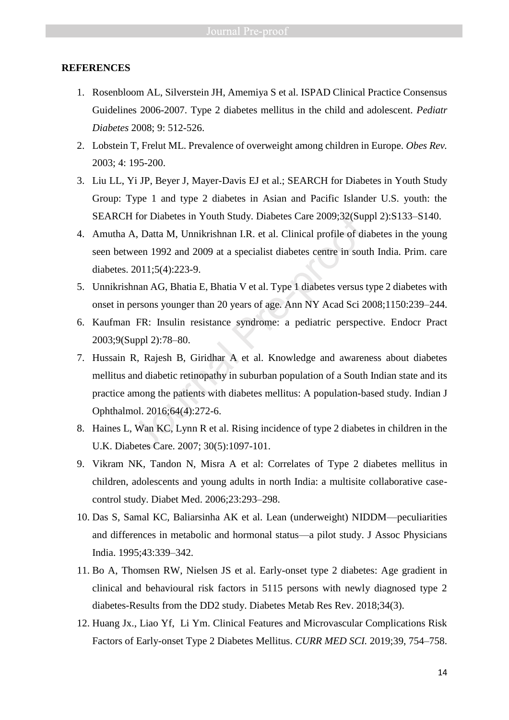### **REFERENCES**

- 1. Rosenbloom AL, Silverstein JH, Amemiya S et al. ISPAD Clinical Practice Consensus Guidelines 2006-2007. Type 2 diabetes mellitus in the child and adolescent. *Pediatr Diabetes* 2008; 9: 512-526.
- 2. Lobstein T, Frelut ML. Prevalence of overweight among children in Europe. *Obes Rev.*  2003; 4: 195-200.
- 3. Liu LL, Yi JP, Beyer J, Mayer-Davis EJ et al.; SEARCH for Diabetes in Youth Study Group: Type 1 and type 2 diabetes in Asian and Pacific Islander U.S. youth: the SEARCH for Diabetes in Youth Study. Diabetes Care 2009;32(Suppl 2):S133–S140.
- 4. Amutha A, Datta M, Unnikrishnan I.R. et al. Clinical profile of diabetes in the young seen between 1992 and 2009 at a specialist diabetes centre in south India. Prim. care diabetes. 2011;5(4):223-9.
- 5. Unnikrishnan AG, Bhatia E, Bhatia V et al. Type 1 diabetes versus type 2 diabetes with onset in persons younger than 20 years of age. Ann NY Acad Sci 2008;1150:239–244.
- 6. Kaufman FR: Insulin resistance syndrome: a pediatric perspective. Endocr Pract 2003;9(Suppl 2):78–80.
- 7. Hussain R, Rajesh B, Giridhar A et al. Knowledge and awareness about diabetes mellitus and diabetic retinopathy in suburban population of a South Indian state and its practice among the patients with diabetes mellitus: A population-based study. Indian J Ophthalmol. 2016;64(4):272-6. If for Diabetes in Youth Study. Diabetes Care 2009;32(Sup<br>A, Datta M, Unnikrishnan I.R. et al. Clinical profile of dia<br>veen 1992 and 2009 at a specialist diabetes centre in sout<br>2011;5(4):223-9.<br>hnan AG, Bhatia E, Bhatia V
- 8. Haines L, Wan KC, Lynn R et al. Rising incidence of type 2 diabetes in children in the U.K. Diabetes Care. 2007; 30(5):1097-101.
- 9. Vikram NK, Tandon N, Misra A et al: Correlates of Type 2 diabetes mellitus in children, adolescents and young adults in north India: a multisite collaborative casecontrol study. Diabet Med. 2006;23:293–298.
- 10. Das S, Samal KC, Baliarsinha AK et al. Lean (underweight) NIDDM—peculiarities and differences in metabolic and hormonal status—a pilot study. J Assoc Physicians India. 1995;43:339–342.
- 11. Bo A, Thomsen RW, Nielsen JS et al. Early-onset type 2 diabetes: Age gradient in clinical and behavioural risk factors in 5115 persons with newly diagnosed type 2 diabetes-Results from the DD2 study. Diabetes Metab Res Rev. 2018;34(3).
- 12. Huang Jx., Liao Yf, Li Ym. Clinical Features and Microvascular Complications Risk Factors of Early-onset Type 2 Diabetes Mellitus. *CURR MED SCI.* 2019;39, 754–758.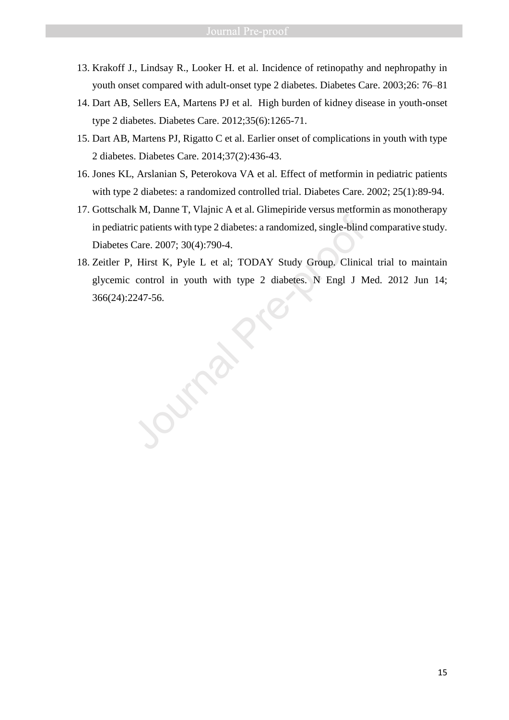- 13. Krakoff J., Lindsay R., Looker H. et al. Incidence of retinopathy and nephropathy in youth onset compared with adult-onset type 2 diabetes. Diabetes Care. 2003;26: 76–81
- 14. Dart AB, Sellers EA, Martens PJ et al. High burden of kidney disease in youth-onset type 2 diabetes. Diabetes Care. 2012;35(6):1265-71.
- 15. Dart AB, Martens PJ, Rigatto C et al. Earlier onset of complications in youth with type 2 diabetes. Diabetes Care. 2014;37(2):436-43.
- 16. Jones KL, Arslanian S, Peterokova VA et al. Effect of metformin in pediatric patients with type 2 diabetes: a randomized controlled trial. Diabetes Care. 2002; 25(1):89-94.
- 17. Gottschalk M, Danne T, Vlajnic A et al. Glimepiride versus metformin as monotherapy in pediatric patients with type 2 diabetes: a randomized, single-blind comparative study. Diabetes Care. 2007; 30(4):790-4.
- 18. Zeitler P, Hirst K, Pyle L et al; TODAY Study Group. Clinical trial to maintain glycemic control in youth with type 2 diabetes. N Engl J Med. 2012 Jun 14; 1. In pediatric patients with type 2 diabetes: a randomized, single-blind<br>Diabetes Care. 2007; 30(4):790-4.<br>Zeitler P, Hirst K, Pyle L et al; TODAY Study Group. Clinica<br>glycemic control in youth with type 2 diabetes. N Eng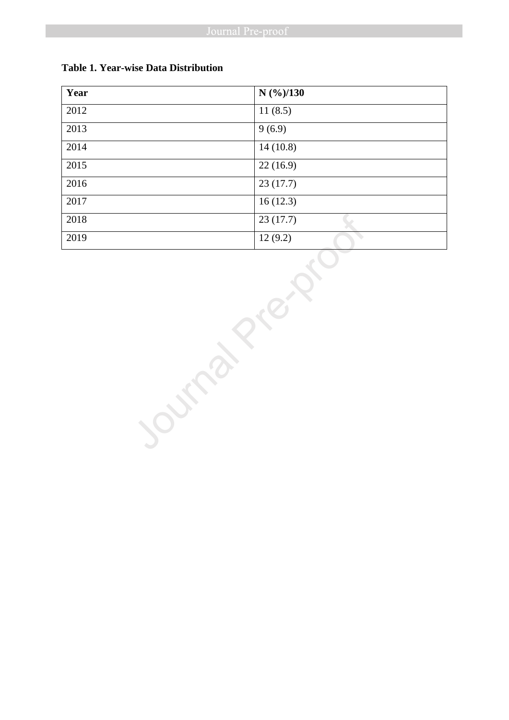| Year | $N$ (%)/130 |
|------|-------------|
| 2012 | 11(8.5)     |
| 2013 | 9(6.9)      |
| 2014 | 14(10.8)    |
| 2015 | 22(16.9)    |
| 2016 | 23(17.7)    |
| 2017 | 16(12.3)    |
| 2018 | 23(17.7)    |
| 2019 | 12(9.2)     |

### **Table 1. Year-wise Data Distribution**

2018 23 (17.7)<br>
2019 12 (9.2)<br>
2019 12 (9.2)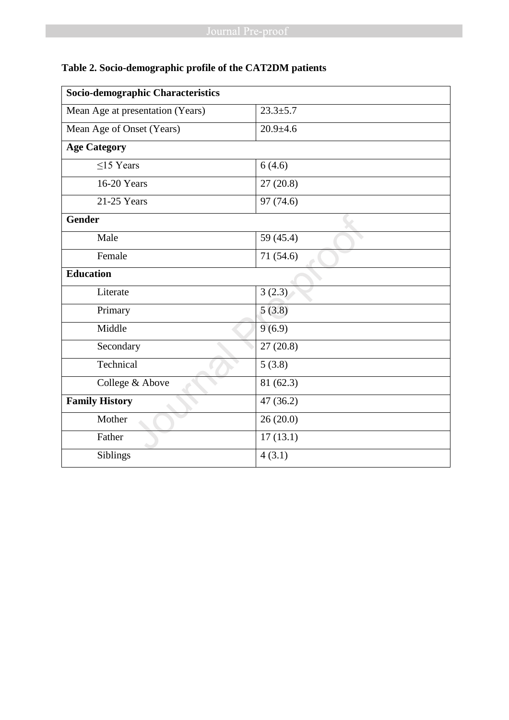| Socio-demographic Characteristics |                |
|-----------------------------------|----------------|
| Mean Age at presentation (Years)  | $23.3 \pm 5.7$ |
| Mean Age of Onset (Years)         | $20.9 + 4.6$   |
| <b>Age Category</b>               |                |
| $<$ 15 Years                      | 6(4.6)         |
| 16-20 Years                       | 27(20.8)       |
| 21-25 Years                       | 97 (74.6)      |
| <b>Gender</b>                     |                |
| Male                              | 59 (45.4)      |
| Female                            | 71 (54.6)      |
| <b>Education</b>                  |                |
| Literate                          | 3(2.3)         |
| Primary                           | 5(3.8)         |
| Middle                            | 9(6.9)         |
| Secondary                         | 27(20.8)       |
| Technical                         | 5(3.8)         |
| College & Above                   | 81 (62.3)      |
| <b>Family History</b>             | 47(36.2)       |
| Mother                            | 26(20.0)       |
| Father                            | 17(13.1)       |
| Siblings                          | 4(3.1)         |

# **Table 2. Socio-demographic profile of the CAT2DM patients**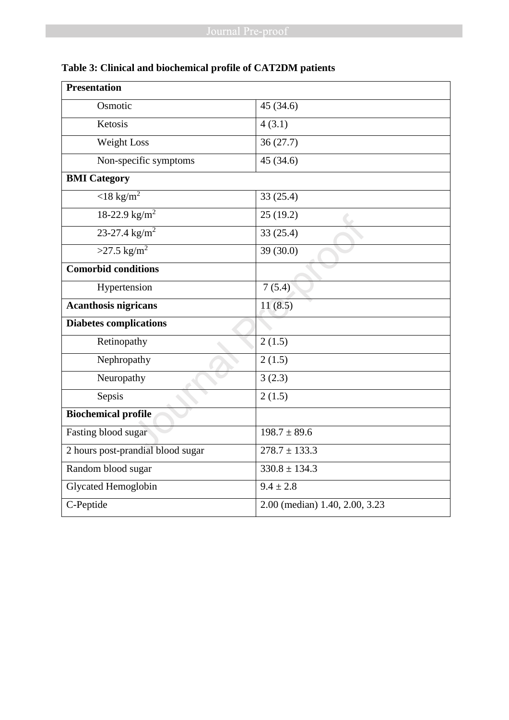| <b>Presentation</b>               |                                |
|-----------------------------------|--------------------------------|
| Osmotic                           | 45 (34.6)                      |
| Ketosis                           | 4(3.1)                         |
| Weight Loss                       | 36(27.7)                       |
| Non-specific symptoms             | 45(34.6)                       |
| <b>BMI</b> Category               |                                |
| $\sqrt{18 \text{ kg/m}^2}$        | 33(25.4)                       |
| 18-22.9 $\text{kg/m}^2$           | 25(19.2)                       |
| $23 - 27.4$ kg/m <sup>2</sup>     | 33(25.4)                       |
| $>27.5$ kg/m <sup>2</sup>         | 39(30.0)                       |
| <b>Comorbid conditions</b>        |                                |
| Hypertension                      | 7(5.4)                         |
| <b>Acanthosis nigricans</b>       | 11(8.5)                        |
| <b>Diabetes complications</b>     |                                |
| Retinopathy                       | 2(1.5)                         |
| Nephropathy                       | 2(1.5)                         |
| Neuropathy                        | 3(2.3)                         |
| Sepsis                            | 2(1.5)                         |
| <b>Biochemical profile</b>        |                                |
| Fasting blood sugar               | $198.7 \pm 89.6$               |
| 2 hours post-prandial blood sugar | $278.7 \pm 133.3$              |
| Random blood sugar                | $330.8 \pm 134.3$              |
| <b>Glycated Hemoglobin</b>        | $9.4 \pm 2.8$                  |
| C-Peptide                         | 2.00 (median) 1.40, 2.00, 3.23 |

# **Table 3: Clinical and biochemical profile of CAT2DM patients**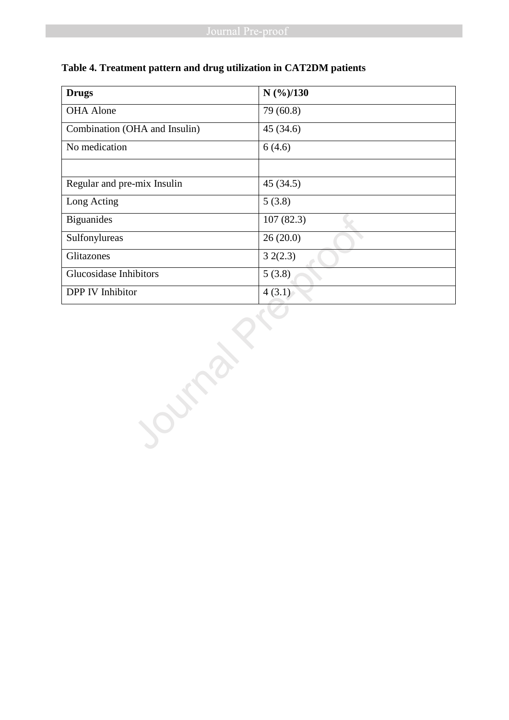| <b>Drugs</b>                  | $N$ (%)/130         |  |
|-------------------------------|---------------------|--|
| <b>OHA</b> Alone              | 79 (60.8)           |  |
| Combination (OHA and Insulin) | 45 (34.6)           |  |
| No medication                 | 6(4.6)              |  |
|                               |                     |  |
| Regular and pre-mix Insulin   | 45(34.5)            |  |
| Long Acting                   | $\overline{5(3.8)}$ |  |
| <b>Biguanides</b>             | 107(82.3)           |  |
| Sulfonylureas                 | 26(20.0)            |  |
| Glitazones                    | 32(2.3)             |  |
| Glucosidase Inhibitors        | 5(3.8)              |  |
| DPP IV Inhibitor              | 4(3.1)              |  |
|                               |                     |  |

# **Table 4. Treatment pattern and drug utilization in CAT2DM patients**